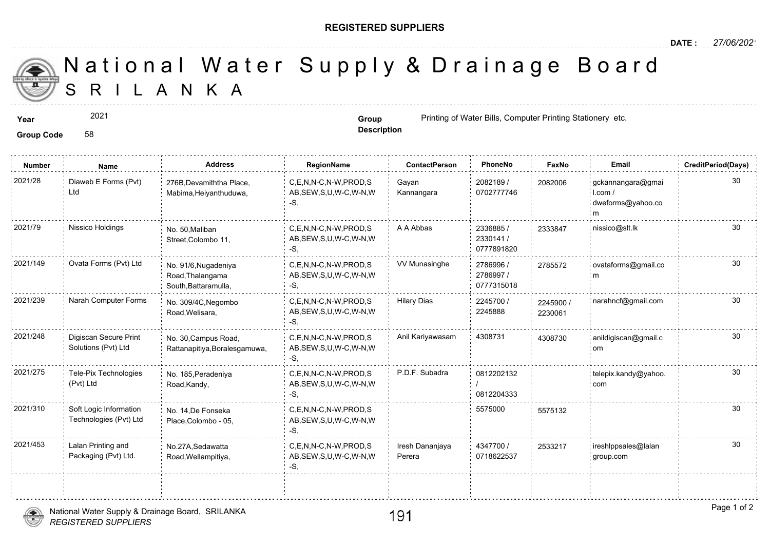## **REGISTERED SUPPLIERS**

S R I L A N K A National Water Supply & Drainage

2021

**Group Code** 58

**Description**

**Year Group Group Printing of Water Bills, Computer Print** Stationery et al., Computer Printing Stationery et al., Computer Printing Stationery et al., Computer Printing Stationery et al., Computer Printing of Water

| <b>Number</b> | Name                                             | <b>Address</b>                                                   | RegionName                                                | <b>ContactPerson</b>      | PhoneNo                              | Faxl             |
|---------------|--------------------------------------------------|------------------------------------------------------------------|-----------------------------------------------------------|---------------------------|--------------------------------------|------------------|
| 2021/28       | Diaweb E Forms (Pvt)<br>Ltd                      | 276B, Devamiththa Place,<br>Mabima, Heiyanthuduwa,               | C,E,N,N-C,N-W,PROD,S<br>AB, SEW, S, U, W-C, W-N, W<br>-S. | Gayan<br>Kannangara       | 2082189 /<br>0702777746              | 208200           |
| 2021/79       | Nissico Holdings                                 | No. 50. Maliban<br>Street, Colombo 11,                           | C,E,N,N-C,N-W,PROD,S<br>AB, SEW, S, U, W-C, W-N, W<br>-S, | A A Abbas                 | 2336885 /<br>2330141/<br>0777891820  | 233384           |
| 2021/149      | Ovata Forms (Pvt) Ltd                            | No. 91/6, Nugadeniya<br>Road, Thalangama<br>South, Battaramulla, | C,E,N,N-C,N-W,PROD,S<br>AB, SEW, S, U, W-C, W-N, W<br>-S, | <b>VV Munasinghe</b>      | 2786996 /<br>2786997 /<br>0777315018 | 278557           |
| 2021/239      | Narah Computer Forms                             | No. 309/4C, Negombo<br>Road, Welisara,                           | C.E.N.N-C.N-W.PROD.S<br>AB, SEW, S, U, W-C, W-N, W<br>-S. | <b>Hilary Dias</b>        | 2245700 /<br>2245888                 | 224590<br>223006 |
| 2021/248      | Digiscan Secure Print<br>Solutions (Pvt) Ltd     | No. 30, Campus Road,<br>Rattanapitiya, Boralesgamuwa,            | C.E.N.N-C.N-W.PROD.S<br>AB, SEW, S, U, W-C, W-N, W<br>-S, | Anil Kariyawasam          | 4308731                              | 430873           |
| 2021/275      | Tele-Pix Technologies<br>(Pvt) Ltd               | No. 185, Peradeniya<br>Road, Kandy,                              | C.E.N.N-C.N-W.PROD.S<br>AB, SEW, S, U, W-C, W-N, W<br>-S. | P.D.F. Subadra            | 0812202132<br>0812204333             |                  |
| 2021/310      | Soft Logic Information<br>Technologies (Pvt) Ltd | No. 14.De Fonseka<br>Place, Colombo - 05,                        | C,E,N,N-C,N-W,PROD,S<br>AB, SEW, S, U, W-C, W-N, W<br>-S. |                           | 5575000                              | 557513           |
| 2021/453      | Lalan Printing and<br>Packaging (Pvt) Ltd.       | No.27A, Sedawatta<br>Road, Wellampitiya,                         | C,E,N,N-C,N-W,PROD,S<br>AB, SEW, S, U, W-C, W-N, W<br>-S, | Iresh Dananjaya<br>Perera | 4347700 /<br>0718622537              | 253321           |
|               |                                                  |                                                                  |                                                           |                           |                                      |                  |